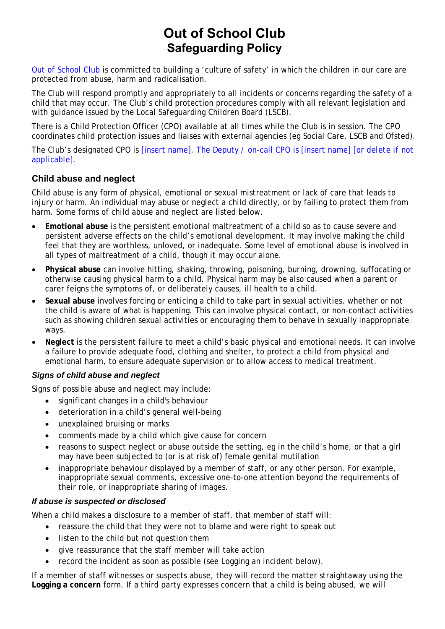# **Out of School Club Safeguarding Policy**

Out of School Club is committed to building a 'culture of safety' in which the children in our care are protected from abuse, harm and radicalisation.

The Club will respond promptly and appropriately to all incidents or concerns regarding the safety of a child that may occur. The Club's child protection procedures comply with all relevant legislation and with guidance issued by the Local Safeguarding Children Board (LSCB).

There is a Child Protection Officer (CPO) available at all times while the Club is in session. The CPO coordinates child protection issues and liaises with external agencies (eg Social Care, LSCB and Ofsted).

The Club's designated CPO is [insert name]. The Deputy / on-call CPO is [insert name] *[or delete if not applicable]*.

# **Child abuse and neglect**

Child abuse is any form of physical, emotional or sexual mistreatment or lack of care that leads to injury or harm. An individual may abuse or neglect a child directly, or by failing to protect them from harm. Some forms of child abuse and neglect are listed below.

- **Emotional abuse** is the persistent emotional maltreatment of a child so as to cause severe and persistent adverse effects on the child's emotional development. It may involve making the child feel that they are worthless, unloved, or inadequate. Some level of emotional abuse is involved in all types of maltreatment of a child, though it may occur alone.
- **Physical abuse** can involve hitting, shaking, throwing, poisoning, burning, drowning, suffocating or otherwise causing physical harm to a child. Physical harm may be also caused when a parent or carer feigns the symptoms of, or deliberately causes, ill health to a child.
- **Sexual abuse** involves forcing or enticing a child to take part in sexual activities, whether or not the child is aware of what is happening. This can involve physical contact, or non-contact activities such as showing children sexual activities or encouraging them to behave in sexually inappropriate ways.
- **Neglect** is the persistent failure to meet a child's basic physical and emotional needs. It can involve a failure to provide adequate food, clothing and shelter, to protect a child from physical and emotional harm, to ensure adequate supervision or to allow access to medical treatment.

## *Signs of child abuse and neglect*

Signs of possible abuse and neglect may include:

- significant changes in a child's behaviour
- deterioration in a child's general well-being
- unexplained bruising or marks
- comments made by a child which give cause for concern
- reasons to suspect neglect or abuse outside the setting, eg in the child's home, or that a girl may have been subjected to (or is at risk of) female genital mutilation
- inappropriate behaviour displayed by a member of staff, or any other person. For example, inappropriate sexual comments, excessive one-to-one attention beyond the requirements of their role, or inappropriate sharing of images.

#### *If abuse is suspected or disclosed*

When a child makes a disclosure to a member of staff, that member of staff will:

- reassure the child that they were not to blame and were right to speak out
- listen to the child but not question them
- give reassurance that the staff member will take action
- record the incident as soon as possible (see *Logging an incident* below).

If a member of staff witnesses or suspects abuse, they will record the matter straightaway using the **Logging a concern** form. If a third party expresses concern that a child is being abused, we will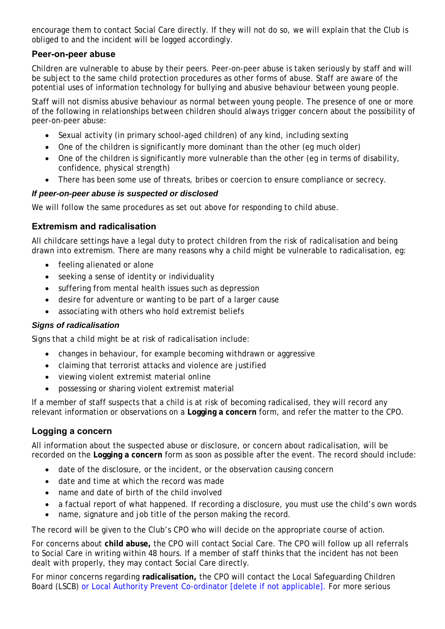encourage them to contact Social Care directly. If they will not do so, we will explain that the Club is obliged to and the incident will be logged accordingly.

## **Peer-on-peer abuse**

Children are vulnerable to abuse by their peers. Peer-on-peer abuse is taken seriously by staff and will be subject to the same child protection procedures as other forms of abuse. Staff are aware of the potential uses of information technology for bullying and abusive behaviour between young people.

Staff will not dismiss abusive behaviour as normal between young people. The presence of one or more of the following in relationships between children should always trigger concern about the possibility of peer-on-peer abuse:

- Sexual activity (in primary school-aged children) of any kind, including sexting
- One of the children is significantly more dominant than the other (eg much older)
- One of the children is significantly more vulnerable than the other (eg in terms of disability, confidence, physical strength)
- There has been some use of threats, bribes or coercion to ensure compliance or secrecy.

#### *If peer-on-peer abuse is suspected or disclosed*

We will follow the same procedures as set out above for responding to child abuse.

#### **Extremism and radicalisation**

All childcare settings have a legal duty to protect children from the risk of radicalisation and being drawn into extremism. There are many reasons why a child might be vulnerable to radicalisation, eg:

- feeling alienated or alone
- seeking a sense of identity or individuality
- suffering from mental health issues such as depression
- desire for adventure or wanting to be part of a larger cause
- associating with others who hold extremist beliefs

#### *Signs of radicalisation*

Signs that a child might be at risk of radicalisation include:

- changes in behaviour, for example becoming withdrawn or aggressive
- claiming that terrorist attacks and violence are justified
- viewing violent extremist material online
- possessing or sharing violent extremist material

If a member of staff suspects that a child is at risk of becoming radicalised, they will record any relevant information or observations on a **Logging a concern** form, and refer the matter to the CPO.

## **Logging a concern**

All information about the suspected abuse or disclosure, or concern about radicalisation, will be recorded on the **Logging a concern** form as soon as possible after the event. The record should include:

- date of the disclosure, or the incident, or the observation causing concern
- date and time at which the record was made
- name and date of birth of the child involved
- a factual report of what happened. If recording a disclosure, you must use the child's own words
- name, signature and job title of the person making the record.

The record will be given to the Club's CPO who will decide on the appropriate course of action.

For concerns about **child abuse,** the CPO will contact Social Care. The CPO will follow up all referrals to Social Care in writing within 48 hours. If a member of staff thinks that the incident has not been dealt with properly, they may contact Social Care directly.

For minor concerns regarding **radicalisation,** the CPO will contact the Local Safeguarding Children Board (LSCB) or Local Authority Prevent Co-ordinator [delete if not applicable]. For more serious